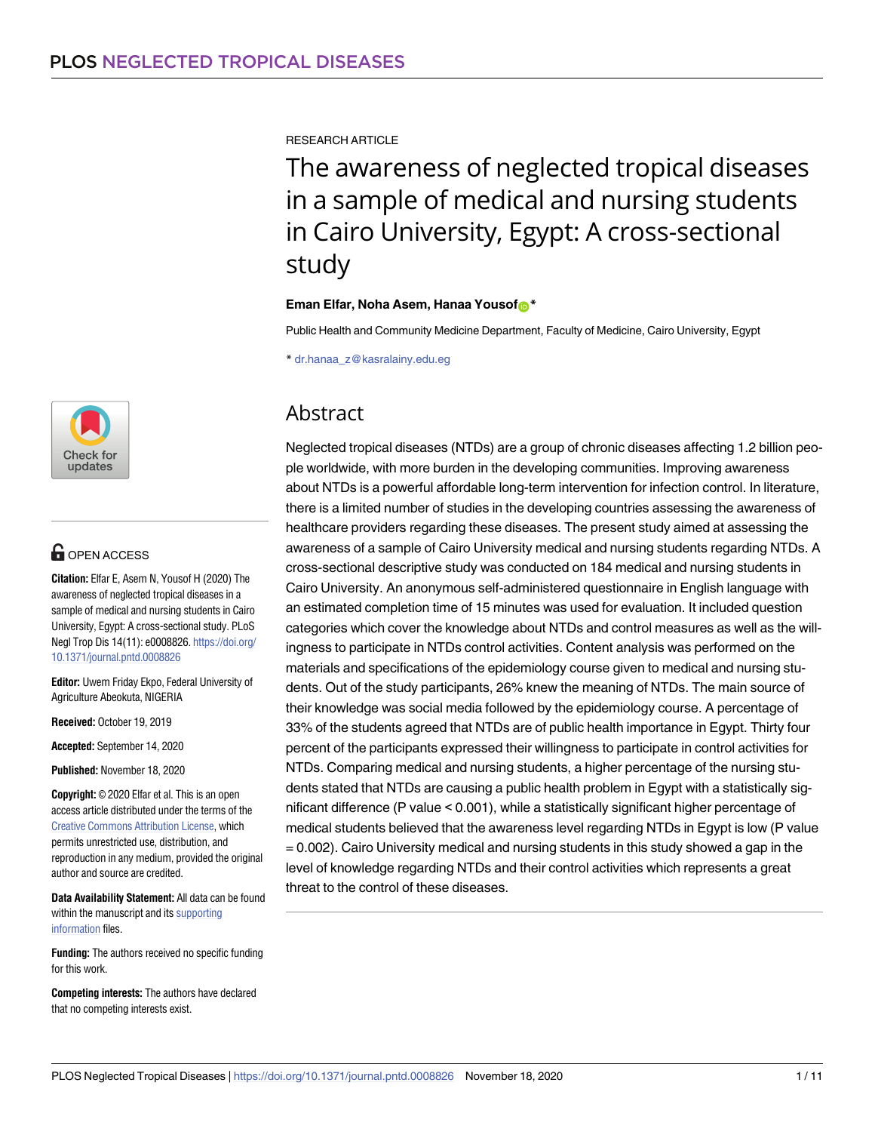

# **OPEN ACCESS**

**Citation:** Elfar E, Asem N, Yousof H (2020) The awareness of neglected tropical diseases in a sample of medical and nursing students in Cairo University, Egypt: A cross-sectional study. PLoS Negl Trop Dis 14(11): e0008826. [https://doi.org/](https://doi.org/10.1371/journal.pntd.0008826) [10.1371/journal.pntd.0008826](https://doi.org/10.1371/journal.pntd.0008826)

**Editor:** Uwem Friday Ekpo, Federal University of Agriculture Abeokuta, NIGERIA

**Received:** October 19, 2019

**Accepted:** September 14, 2020

**Published:** November 18, 2020

**Copyright:** © 2020 Elfar et al. This is an open access article distributed under the terms of the Creative Commons [Attribution](http://creativecommons.org/licenses/by/4.0/) License, which permits unrestricted use, distribution, and reproduction in any medium, provided the original author and source are credited.

**Data Availability Statement:** All data can be found within the manuscript and its [supporting](#page-8-0) [information](#page-8-0) files.

**Funding:** The authors received no specific funding for this work.

**Competing interests:** The authors have declared that no competing interests exist.

RESEARCH ARTICLE

The awareness of neglected tropical diseases in a sample of medical and nursing students in Cairo University, Egypt: A cross-sectional study

**Eman Elfar, Noha Asem, Hanaa Yousof**<sup>\*</sup>

Public Health and Community Medicine Department, Faculty of Medicine, Cairo University, Egypt

\* dr.hanaa\_z@kasralainy.edu.eg

# Abstract

Neglected tropical diseases (NTDs) are a group of chronic diseases affecting 1.2 billion people worldwide, with more burden in the developing communities. Improving awareness about NTDs is a powerful affordable long-term intervention for infection control. In literature, there is a limited number of studies in the developing countries assessing the awareness of healthcare providers regarding these diseases. The present study aimed at assessing the awareness of a sample of Cairo University medical and nursing students regarding NTDs. A cross-sectional descriptive study was conducted on 184 medical and nursing students in Cairo University. An anonymous self-administered questionnaire in English language with an estimated completion time of 15 minutes was used for evaluation. It included question categories which cover the knowledge about NTDs and control measures as well as the willingness to participate in NTDs control activities. Content analysis was performed on the materials and specifications of the epidemiology course given to medical and nursing students. Out of the study participants, 26% knew the meaning of NTDs. The main source of their knowledge was social media followed by the epidemiology course. A percentage of 33% of the students agreed that NTDs are of public health importance in Egypt. Thirty four percent of the participants expressed their willingness to participate in control activities for NTDs. Comparing medical and nursing students, a higher percentage of the nursing students stated that NTDs are causing a public health problem in Egypt with a statistically significant difference (P value < 0.001), while a statistically significant higher percentage of medical students believed that the awareness level regarding NTDs in Egypt is low (P value = 0.002). Cairo University medical and nursing students in this study showed a gap in the level of knowledge regarding NTDs and their control activities which represents a great threat to the control of these diseases.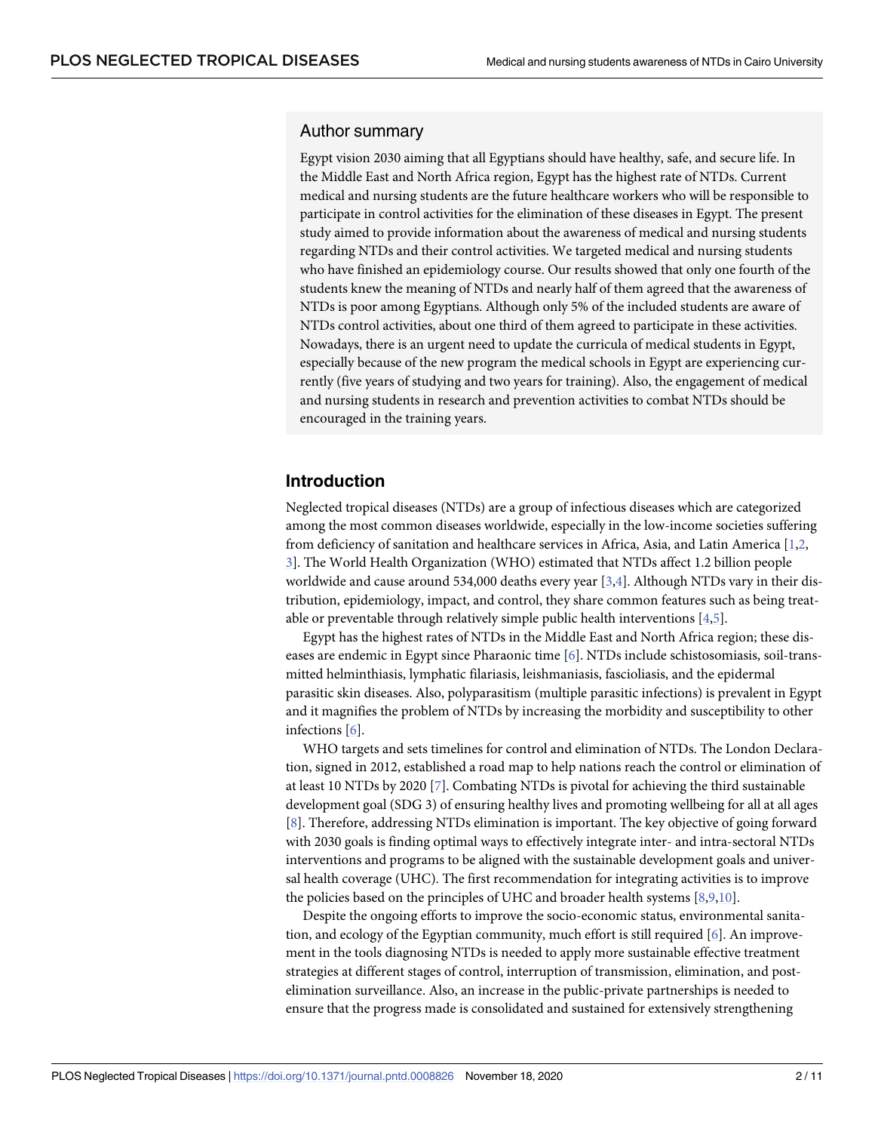#### <span id="page-1-0"></span>Author summary

Egypt vision 2030 aiming that all Egyptians should have healthy, safe, and secure life. In the Middle East and North Africa region, Egypt has the highest rate of NTDs. Current medical and nursing students are the future healthcare workers who will be responsible to participate in control activities for the elimination of these diseases in Egypt. The present study aimed to provide information about the awareness of medical and nursing students regarding NTDs and their control activities. We targeted medical and nursing students who have finished an epidemiology course. Our results showed that only one fourth of the students knew the meaning of NTDs and nearly half of them agreed that the awareness of NTDs is poor among Egyptians. Although only 5% of the included students are aware of NTDs control activities, about one third of them agreed to participate in these activities. Nowadays, there is an urgent need to update the curricula of medical students in Egypt, especially because of the new program the medical schools in Egypt are experiencing currently (five years of studying and two years for training). Also, the engagement of medical and nursing students in research and prevention activities to combat NTDs should be encouraged in the training years.

## **Introduction**

Neglected tropical diseases (NTDs) are a group of infectious diseases which are categorized among the most common diseases worldwide, especially in the low-income societies suffering from deficiency of sanitation and healthcare services in Africa, Asia, and Latin America [[1,2,](#page-8-0) [3\]](#page-8-0). The World Health Organization (WHO) estimated that NTDs affect 1.2 billion people worldwide and cause around 534,000 deaths every year [[3,4\]](#page-8-0). Although NTDs vary in their distribution, epidemiology, impact, and control, they share common features such as being treatable or preventable through relatively simple public health interventions [\[4,](#page-8-0)[5\]](#page-9-0).

Egypt has the highest rates of NTDs in the Middle East and North Africa region; these diseases are endemic in Egypt since Pharaonic time [[6\]](#page-9-0). NTDs include schistosomiasis, soil-transmitted helminthiasis, lymphatic filariasis, leishmaniasis, fascioliasis, and the epidermal parasitic skin diseases. Also, polyparasitism (multiple parasitic infections) is prevalent in Egypt and it magnifies the problem of NTDs by increasing the morbidity and susceptibility to other infections [[6\]](#page-9-0).

WHO targets and sets timelines for control and elimination of NTDs. The London Declaration, signed in 2012, established a road map to help nations reach the control or elimination of at least 10 NTDs by 2020 [\[7\]](#page-9-0). Combating NTDs is pivotal for achieving the third sustainable development goal (SDG 3) of ensuring healthy lives and promoting wellbeing for all at all ages [\[8](#page-9-0)]. Therefore, addressing NTDs elimination is important. The key objective of going forward with 2030 goals is finding optimal ways to effectively integrate inter- and intra-sectoral NTDs interventions and programs to be aligned with the sustainable development goals and universal health coverage (UHC). The first recommendation for integrating activities is to improve the policies based on the principles of UHC and broader health systems [[8,9,10](#page-9-0)].

Despite the ongoing efforts to improve the socio-economic status, environmental sanitation, and ecology of the Egyptian community, much effort is still required [[6\]](#page-9-0). An improvement in the tools diagnosing NTDs is needed to apply more sustainable effective treatment strategies at different stages of control, interruption of transmission, elimination, and postelimination surveillance. Also, an increase in the public-private partnerships is needed to ensure that the progress made is consolidated and sustained for extensively strengthening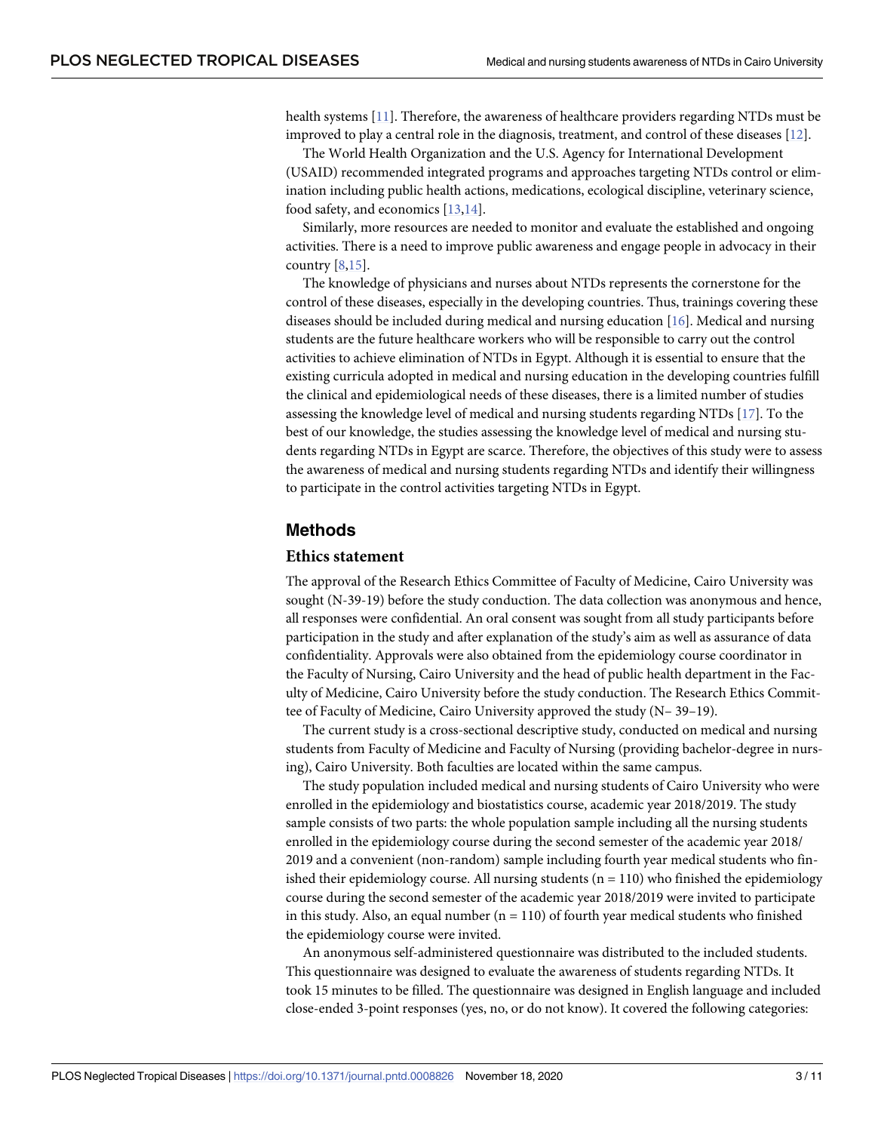<span id="page-2-0"></span>health systems [\[11\]](#page-9-0). Therefore, the awareness of healthcare providers regarding NTDs must be improved to play a central role in the diagnosis, treatment, and control of these diseases [[12](#page-9-0)].

The World Health Organization and the U.S. Agency for International Development (USAID) recommended integrated programs and approaches targeting NTDs control or elimination including public health actions, medications, ecological discipline, veterinary science, food safety, and economics [\[13,14\]](#page-9-0).

Similarly, more resources are needed to monitor and evaluate the established and ongoing activities. There is a need to improve public awareness and engage people in advocacy in their country [[8,15](#page-9-0)].

The knowledge of physicians and nurses about NTDs represents the cornerstone for the control of these diseases, especially in the developing countries. Thus, trainings covering these diseases should be included during medical and nursing education [\[16\]](#page-9-0). Medical and nursing students are the future healthcare workers who will be responsible to carry out the control activities to achieve elimination of NTDs in Egypt. Although it is essential to ensure that the existing curricula adopted in medical and nursing education in the developing countries fulfill the clinical and epidemiological needs of these diseases, there is a limited number of studies assessing the knowledge level of medical and nursing students regarding NTDs [\[17\]](#page-9-0). To the best of our knowledge, the studies assessing the knowledge level of medical and nursing students regarding NTDs in Egypt are scarce. Therefore, the objectives of this study were to assess the awareness of medical and nursing students regarding NTDs and identify their willingness to participate in the control activities targeting NTDs in Egypt.

### **Methods**

#### **Ethics statement**

The approval of the Research Ethics Committee of Faculty of Medicine, Cairo University was sought (N-39-19) before the study conduction. The data collection was anonymous and hence, all responses were confidential. An oral consent was sought from all study participants before participation in the study and after explanation of the study's aim as well as assurance of data confidentiality. Approvals were also obtained from the epidemiology course coordinator in the Faculty of Nursing, Cairo University and the head of public health department in the Faculty of Medicine, Cairo University before the study conduction. The Research Ethics Committee of Faculty of Medicine, Cairo University approved the study (N– 39–19).

The current study is a cross-sectional descriptive study, conducted on medical and nursing students from Faculty of Medicine and Faculty of Nursing (providing bachelor-degree in nursing), Cairo University. Both faculties are located within the same campus.

The study population included medical and nursing students of Cairo University who were enrolled in the epidemiology and biostatistics course, academic year 2018/2019. The study sample consists of two parts: the whole population sample including all the nursing students enrolled in the epidemiology course during the second semester of the academic year 2018/ 2019 and a convenient (non-random) sample including fourth year medical students who finished their epidemiology course. All nursing students  $(n = 110)$  who finished the epidemiology course during the second semester of the academic year 2018/2019 were invited to participate in this study. Also, an equal number  $(n = 110)$  of fourth year medical students who finished the epidemiology course were invited.

An anonymous self-administered questionnaire was distributed to the included students. This questionnaire was designed to evaluate the awareness of students regarding NTDs. It took 15 minutes to be filled. The questionnaire was designed in English language and included close-ended 3-point responses (yes, no, or do not know). It covered the following categories: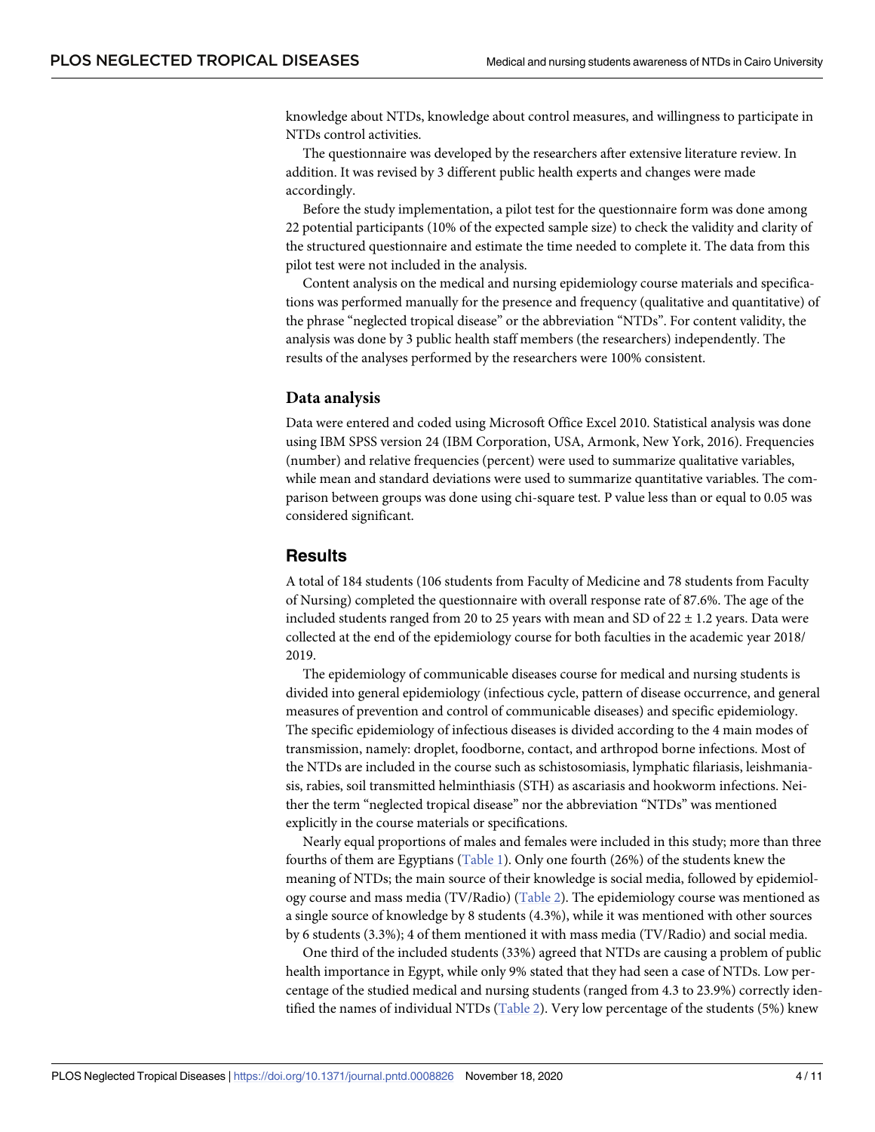<span id="page-3-0"></span>knowledge about NTDs, knowledge about control measures, and willingness to participate in NTDs control activities.

The questionnaire was developed by the researchers after extensive literature review. In addition. It was revised by 3 different public health experts and changes were made accordingly.

Before the study implementation, a pilot test for the questionnaire form was done among 22 potential participants (10% of the expected sample size) to check the validity and clarity of the structured questionnaire and estimate the time needed to complete it. The data from this pilot test were not included in the analysis.

Content analysis on the medical and nursing epidemiology course materials and specifications was performed manually for the presence and frequency (qualitative and quantitative) of the phrase "neglected tropical disease" or the abbreviation "NTDs". For content validity, the analysis was done by 3 public health staff members (the researchers) independently. The results of the analyses performed by the researchers were 100% consistent.

#### **Data analysis**

Data were entered and coded using Microsoft Office Excel 2010. Statistical analysis was done using IBM SPSS version 24 (IBM Corporation, USA, Armonk, New York, 2016). Frequencies (number) and relative frequencies (percent) were used to summarize qualitative variables, while mean and standard deviations were used to summarize quantitative variables. The comparison between groups was done using chi-square test. P value less than or equal to 0.05 was considered significant.

### **Results**

A total of 184 students (106 students from Faculty of Medicine and 78 students from Faculty of Nursing) completed the questionnaire with overall response rate of 87.6%. The age of the included students ranged from 20 to 25 years with mean and SD of  $22 \pm 1.2$  years. Data were collected at the end of the epidemiology course for both faculties in the academic year 2018/ 2019.

The epidemiology of communicable diseases course for medical and nursing students is divided into general epidemiology (infectious cycle, pattern of disease occurrence, and general measures of prevention and control of communicable diseases) and specific epidemiology. The specific epidemiology of infectious diseases is divided according to the 4 main modes of transmission, namely: droplet, foodborne, contact, and arthropod borne infections. Most of the NTDs are included in the course such as schistosomiasis, lymphatic filariasis, leishmaniasis, rabies, soil transmitted helminthiasis (STH) as ascariasis and hookworm infections. Neither the term "neglected tropical disease" nor the abbreviation "NTDs" was mentioned explicitly in the course materials or specifications.

Nearly equal proportions of males and females were included in this study; more than three fourths of them are Egyptians [\(Table](#page-4-0) 1). Only one fourth (26%) of the students knew the meaning of NTDs; the main source of their knowledge is social media, followed by epidemiology course and mass media (TV/Radio) [\(Table](#page-4-0) 2). The epidemiology course was mentioned as a single source of knowledge by 8 students (4.3%), while it was mentioned with other sources by 6 students (3.3%); 4 of them mentioned it with mass media (TV/Radio) and social media.

One third of the included students (33%) agreed that NTDs are causing a problem of public health importance in Egypt, while only 9% stated that they had seen a case of NTDs. Low percentage of the studied medical and nursing students (ranged from 4.3 to 23.9%) correctly identified the names of individual NTDs ([Table](#page-4-0) 2). Very low percentage of the students (5%) knew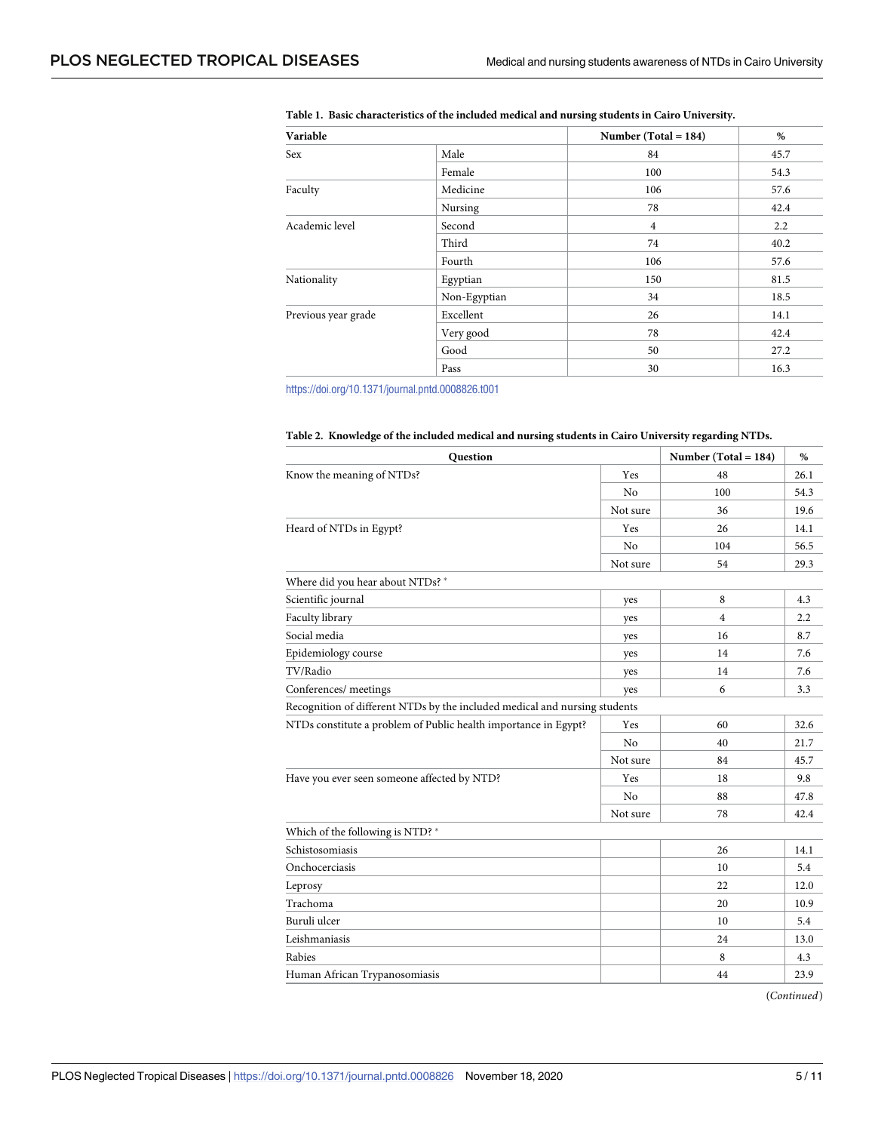| Variable            |              | Number (Total = $184$ ) | %    |
|---------------------|--------------|-------------------------|------|
| Sex                 | Male         | 84                      | 45.7 |
|                     | Female       | 100                     | 54.3 |
| Faculty             | Medicine     | 106                     | 57.6 |
|                     | Nursing      | 78                      | 42.4 |
| Academic level      | Second       | $\overline{4}$          | 2.2  |
|                     | Third        | 74                      | 40.2 |
|                     | Fourth       | 106                     | 57.6 |
| Nationality         | Egyptian     | 150                     | 81.5 |
|                     | Non-Egyptian | 34                      | 18.5 |
| Previous year grade | Excellent    | 26                      | 14.1 |
|                     | Very good    | 78                      | 42.4 |
|                     | Good         | 50                      | 27.2 |
|                     | Pass         | 30                      | 16.3 |

<span id="page-4-0"></span>**[Table](#page-3-0) 1. Basic characteristics of the included medical and nursing students in Cairo University.**

<https://doi.org/10.1371/journal.pntd.0008826.t001>

|  |  | Table 2. Knowledge of the included medical and nursing students in Cairo University regarding NTDs. |  |  |
|--|--|-----------------------------------------------------------------------------------------------------|--|--|
|  |  |                                                                                                     |  |  |

| Question                                                                   |                | Number (Total = $184$ ) | %    |
|----------------------------------------------------------------------------|----------------|-------------------------|------|
| Know the meaning of NTDs?                                                  | Yes            | 48                      | 26.1 |
|                                                                            | N <sub>0</sub> | 100                     | 54.3 |
|                                                                            | Not sure       | 36                      | 19.6 |
| Heard of NTDs in Egypt?                                                    | Yes            | 26                      | 14.1 |
|                                                                            | N <sub>0</sub> | 104                     | 56.5 |
|                                                                            | Not sure       | 54                      | 29.3 |
| Where did you hear about NTDs? *                                           |                |                         |      |
| Scientific journal                                                         | yes            | 8                       | 4.3  |
| Faculty library                                                            | yes            | $\overline{4}$          | 2.2  |
| Social media                                                               | yes            | 16                      | 8.7  |
| Epidemiology course                                                        | yes            | 14                      | 7.6  |
| TV/Radio                                                                   | yes            | 14                      | 7.6  |
| Conferences/ meetings                                                      | yes            | 6                       | 3.3  |
| Recognition of different NTDs by the included medical and nursing students |                |                         |      |
| NTDs constitute a problem of Public health importance in Egypt?            | Yes            | 60                      | 32.6 |
|                                                                            | No             | 40                      | 21.7 |
|                                                                            | Not sure       | 84                      | 45.7 |
| Have you ever seen someone affected by NTD?                                | Yes            | 18                      | 9.8  |
|                                                                            | No             | 88                      | 47.8 |
|                                                                            | Not sure       | 78                      | 42.4 |
| Which of the following is NTD?*                                            |                |                         |      |
| Schistosomiasis                                                            |                | 26                      | 14.1 |
| Onchocerciasis                                                             |                | 10                      | 5.4  |
| Leprosy                                                                    |                | 22                      | 12.0 |
| Trachoma                                                                   |                | 20                      | 10.9 |
| Buruli ulcer                                                               |                | 10                      | 5.4  |
| Leishmaniasis                                                              |                | 24                      | 13.0 |
| Rabies                                                                     |                | 8                       | 4.3  |
| Human African Trypanosomiasis                                              |                | 44                      | 23.9 |

(*Continued*)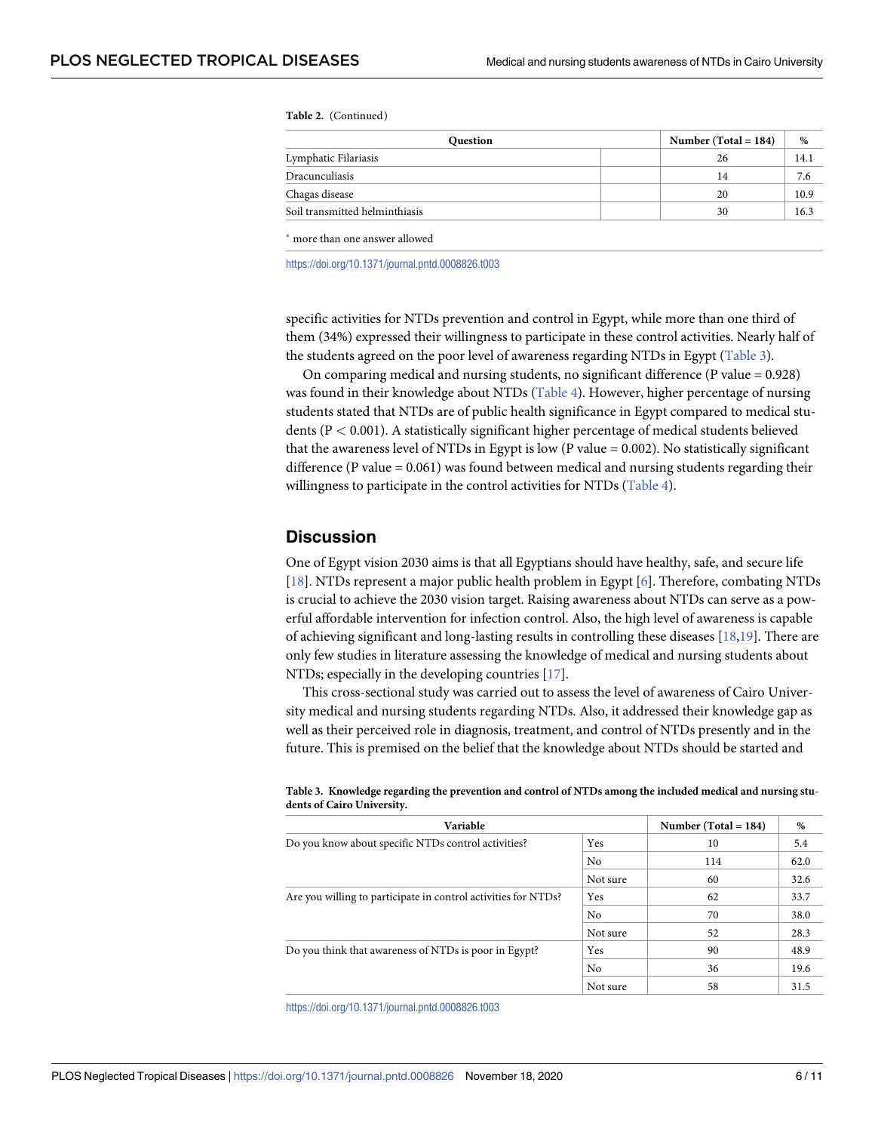<span id="page-5-0"></span>**Table 2.** (Continued)

| <b>Question</b>                | Number (Total = $184$ ) | %  |      |
|--------------------------------|-------------------------|----|------|
| Lymphatic Filariasis           |                         | 26 | 14.1 |
| Dracunculiasis                 |                         | 14 | 7.6  |
| Chagas disease                 |                         | 20 | 10.9 |
| Soil transmitted helminthiasis |                         | 30 | 16.3 |

� more than one answer allowed

<https://doi.org/10.1371/journal.pntd.0008826.t003>

specific activities for NTDs prevention and control in Egypt, while more than one third of them (34%) expressed their willingness to participate in these control activities. Nearly half of the students agreed on the poor level of awareness regarding NTDs in Egypt (Table 3).

On comparing medical and nursing students, no significant difference (P value = 0.928) was found in their knowledge about NTDs [\(Table](#page-6-0) 4). However, higher percentage of nursing students stated that NTDs are of public health significance in Egypt compared to medical students (P *<* 0.001). A statistically significant higher percentage of medical students believed that the awareness level of NTDs in Egypt is low (P value  $= 0.002$ ). No statistically significant difference (P value  $= 0.061$ ) was found between medical and nursing students regarding their willingness to participate in the control activities for NTDs ([Table](#page-6-0) 4).

### **Discussion**

One of Egypt vision 2030 aims is that all Egyptians should have healthy, safe, and secure life [\[18\]](#page-9-0). NTDs represent a major public health problem in Egypt [[6](#page-9-0)]. Therefore, combating NTDs is crucial to achieve the 2030 vision target. Raising awareness about NTDs can serve as a powerful affordable intervention for infection control. Also, the high level of awareness is capable of achieving significant and long-lasting results in controlling these diseases [[18](#page-9-0),[19](#page-9-0)]. There are only few studies in literature assessing the knowledge of medical and nursing students about NTDs; especially in the developing countries [\[17\]](#page-9-0).

This cross-sectional study was carried out to assess the level of awareness of Cairo University medical and nursing students regarding NTDs. Also, it addressed their knowledge gap as well as their perceived role in diagnosis, treatment, and control of NTDs presently and in the future. This is premised on the belief that the knowledge about NTDs should be started and

| Variable                                                       | Number (Total = $184$ ) | %   |      |
|----------------------------------------------------------------|-------------------------|-----|------|
| Do you know about specific NTDs control activities?            | Yes<br>10               |     | 5.4  |
|                                                                | No                      | 114 | 62.0 |
|                                                                | Not sure                | 60  | 32.6 |
| Are you willing to participate in control activities for NTDs? | Yes                     | 62  | 33.7 |
|                                                                | No                      | 70  | 38.0 |
|                                                                | Not sure                | 52  | 28.3 |
| Do you think that awareness of NTDs is poor in Egypt?          | Yes                     | 90  | 48.9 |
|                                                                | N <sub>0</sub>          | 36  | 19.6 |
|                                                                | Not sure                | 58  | 31.5 |

Table 3. Knowledge regarding the prevention and control of NTDs among the included medical and nursing stu**dents of Cairo University.**

<https://doi.org/10.1371/journal.pntd.0008826.t003>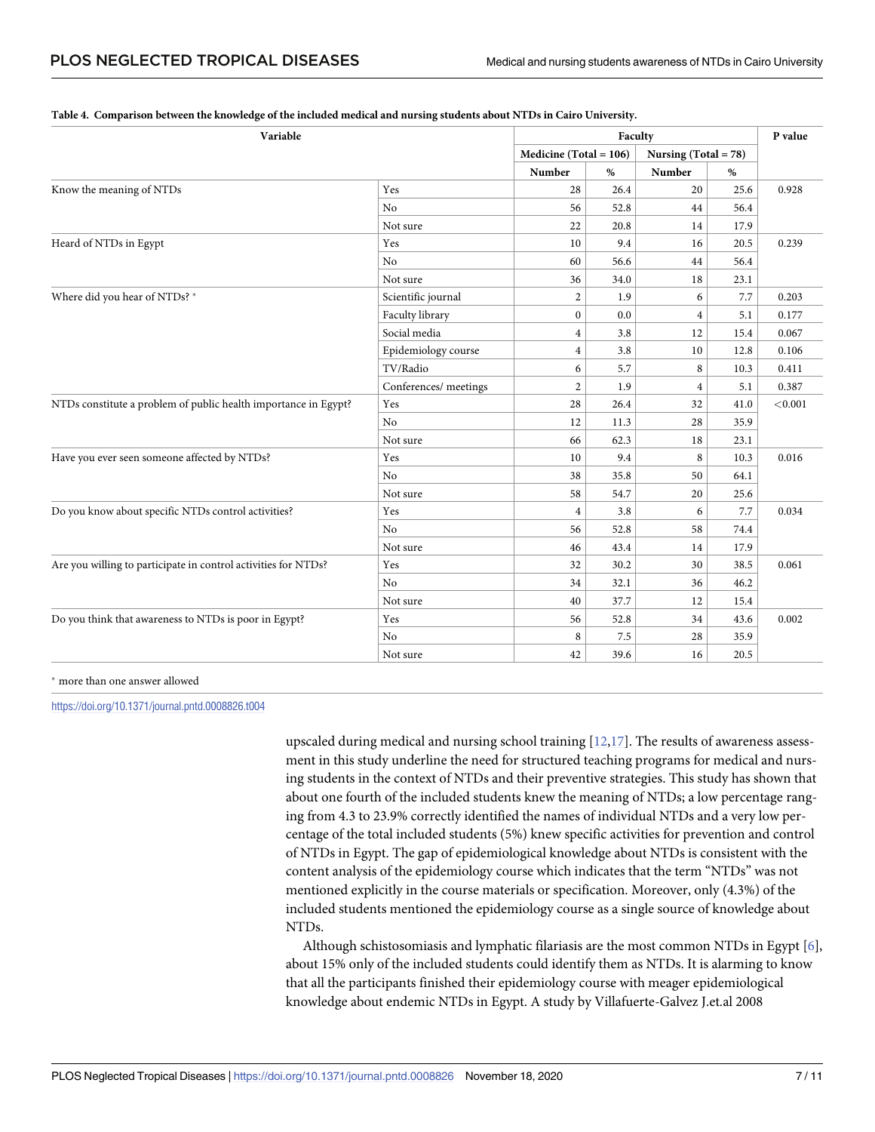| Variable                                                        |                       | Faculty                  |      |                         |      | P value |
|-----------------------------------------------------------------|-----------------------|--------------------------|------|-------------------------|------|---------|
|                                                                 |                       | $Medicine (Total = 106)$ |      | Nursing (Total = $78$ ) |      |         |
|                                                                 |                       | Number                   | %    | Number                  | $\%$ |         |
| Know the meaning of NTDs                                        | Yes                   | 28                       | 26.4 | 20                      | 25.6 | 0.928   |
|                                                                 | No                    | 56                       | 52.8 | 44                      | 56.4 |         |
|                                                                 | Not sure              | 22                       | 20.8 | 14                      | 17.9 |         |
| Heard of NTDs in Egypt                                          | Yes                   | 10                       | 9.4  | 16                      | 20.5 | 0.239   |
|                                                                 | No                    | 60                       | 56.6 | 44                      | 56.4 |         |
|                                                                 | Not sure              | 36                       | 34.0 | 18                      | 23.1 |         |
| Where did you hear of NTDs? *                                   | Scientific journal    | $\overline{2}$           | 1.9  | 6                       | 7.7  | 0.203   |
|                                                                 | Faculty library       | 0                        | 0.0  | 4                       | 5.1  | 0.177   |
|                                                                 | Social media          | 4                        | 3.8  | 12                      | 15.4 | 0.067   |
|                                                                 | Epidemiology course   | 4                        | 3.8  | 10                      | 12.8 | 0.106   |
|                                                                 | TV/Radio              | 6                        | 5.7  | 8                       | 10.3 | 0.411   |
|                                                                 | Conferences/ meetings | $\overline{c}$           | 1.9  | 4                       | 5.1  | 0.387   |
| NTDs constitute a problem of public health importance in Egypt? | Yes                   | 28                       | 26.4 | 32                      | 41.0 | < 0.001 |
|                                                                 | N <sub>o</sub>        | 12                       | 11.3 | 28                      | 35.9 |         |
|                                                                 | Not sure              | 66                       | 62.3 | 18                      | 23.1 |         |
| Have you ever seen someone affected by NTDs?                    | Yes                   | 10                       | 9.4  | 8                       | 10.3 | 0.016   |
|                                                                 | N <sub>o</sub>        | 38                       | 35.8 | 50                      | 64.1 |         |
|                                                                 | Not sure              | 58                       | 54.7 | 20                      | 25.6 |         |
| Do you know about specific NTDs control activities?             | Yes                   | $\overline{4}$           | 3.8  | 6                       | 7.7  | 0.034   |
|                                                                 | No                    | 56                       | 52.8 | 58                      | 74.4 |         |
|                                                                 | Not sure              | 46                       | 43.4 | 14                      | 17.9 |         |
| Are you willing to participate in control activities for NTDs?  | Yes                   | 32                       | 30.2 | 30                      | 38.5 | 0.061   |
|                                                                 | N <sub>o</sub>        | 34                       | 32.1 | 36                      | 46.2 |         |
|                                                                 | Not sure              | 40                       | 37.7 | 12                      | 15.4 |         |
| Do you think that awareness to NTDs is poor in Egypt?           | Yes                   | 56                       | 52.8 | 34                      | 43.6 | 0.002   |
|                                                                 | No                    | 8                        | 7.5  | 28                      | 35.9 |         |
|                                                                 | Not sure              | 42                       | 39.6 | 16                      | 20.5 |         |

#### <span id="page-6-0"></span>[Table](#page-5-0) 4. Comparison between the knowledge of the included medical and nursing students about NTDs in Cairo University.

� more than one answer allowed

<https://doi.org/10.1371/journal.pntd.0008826.t004>

upscaled during medical and nursing school training  $[12,17]$  $[12,17]$ . The results of awareness assessment in this study underline the need for structured teaching programs for medical and nursing students in the context of NTDs and their preventive strategies. This study has shown that about one fourth of the included students knew the meaning of NTDs; a low percentage ranging from 4.3 to 23.9% correctly identified the names of individual NTDs and a very low percentage of the total included students (5%) knew specific activities for prevention and control of NTDs in Egypt. The gap of epidemiological knowledge about NTDs is consistent with the content analysis of the epidemiology course which indicates that the term "NTDs" was not mentioned explicitly in the course materials or specification. Moreover, only (4.3%) of the included students mentioned the epidemiology course as a single source of knowledge about NTDs.

Although schistosomiasis and lymphatic filariasis are the most common NTDs in Egypt [\[6](#page-9-0)], about 15% only of the included students could identify them as NTDs. It is alarming to know that all the participants finished their epidemiology course with meager epidemiological knowledge about endemic NTDs in Egypt. A study by Villafuerte-Galvez J.et.al 2008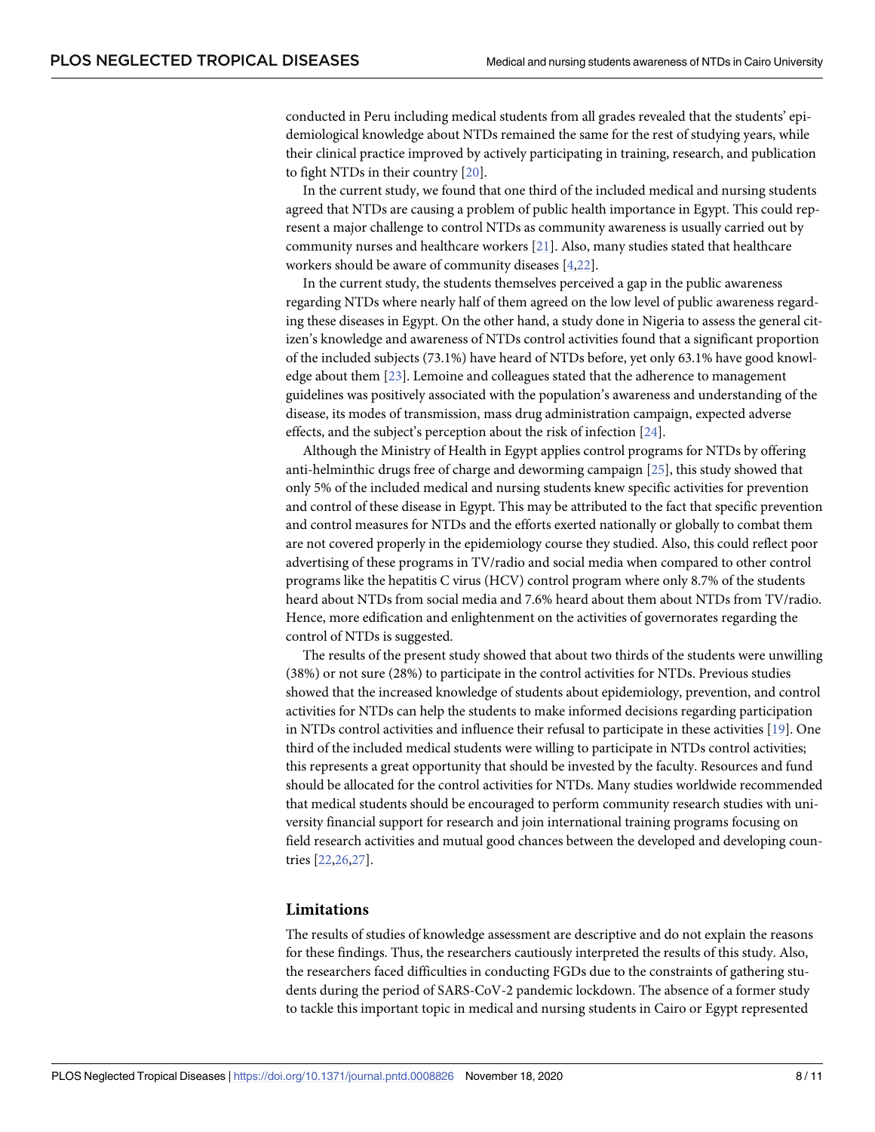<span id="page-7-0"></span>conducted in Peru including medical students from all grades revealed that the students' epidemiological knowledge about NTDs remained the same for the rest of studying years, while their clinical practice improved by actively participating in training, research, and publication to fight NTDs in their country [[20](#page-9-0)].

In the current study, we found that one third of the included medical and nursing students agreed that NTDs are causing a problem of public health importance in Egypt. This could represent a major challenge to control NTDs as community awareness is usually carried out by community nurses and healthcare workers [\[21\]](#page-9-0). Also, many studies stated that healthcare workers should be aware of community diseases [[4,](#page-8-0)[22](#page-9-0)].

In the current study, the students themselves perceived a gap in the public awareness regarding NTDs where nearly half of them agreed on the low level of public awareness regarding these diseases in Egypt. On the other hand, a study done in Nigeria to assess the general citizen's knowledge and awareness of NTDs control activities found that a significant proportion of the included subjects (73.1%) have heard of NTDs before, yet only 63.1% have good knowledge about them [[23](#page-9-0)]. Lemoine and colleagues stated that the adherence to management guidelines was positively associated with the population's awareness and understanding of the disease, its modes of transmission, mass drug administration campaign, expected adverse effects, and the subject's perception about the risk of infection [[24](#page-10-0)].

Although the Ministry of Health in Egypt applies control programs for NTDs by offering anti-helminthic drugs free of charge and deworming campaign [[25](#page-10-0)], this study showed that only 5% of the included medical and nursing students knew specific activities for prevention and control of these disease in Egypt. This may be attributed to the fact that specific prevention and control measures for NTDs and the efforts exerted nationally or globally to combat them are not covered properly in the epidemiology course they studied. Also, this could reflect poor advertising of these programs in TV/radio and social media when compared to other control programs like the hepatitis C virus (HCV) control program where only 8.7% of the students heard about NTDs from social media and 7.6% heard about them about NTDs from TV/radio. Hence, more edification and enlightenment on the activities of governorates regarding the control of NTDs is suggested.

The results of the present study showed that about two thirds of the students were unwilling (38%) or not sure (28%) to participate in the control activities for NTDs. Previous studies showed that the increased knowledge of students about epidemiology, prevention, and control activities for NTDs can help the students to make informed decisions regarding participation in NTDs control activities and influence their refusal to participate in these activities [\[19\]](#page-9-0). One third of the included medical students were willing to participate in NTDs control activities; this represents a great opportunity that should be invested by the faculty. Resources and fund should be allocated for the control activities for NTDs. Many studies worldwide recommended that medical students should be encouraged to perform community research studies with university financial support for research and join international training programs focusing on field research activities and mutual good chances between the developed and developing countries [[22](#page-9-0),[26,27\]](#page-10-0).

#### **Limitations**

The results of studies of knowledge assessment are descriptive and do not explain the reasons for these findings. Thus, the researchers cautiously interpreted the results of this study. Also, the researchers faced difficulties in conducting FGDs due to the constraints of gathering students during the period of SARS-CoV-2 pandemic lockdown. The absence of a former study to tackle this important topic in medical and nursing students in Cairo or Egypt represented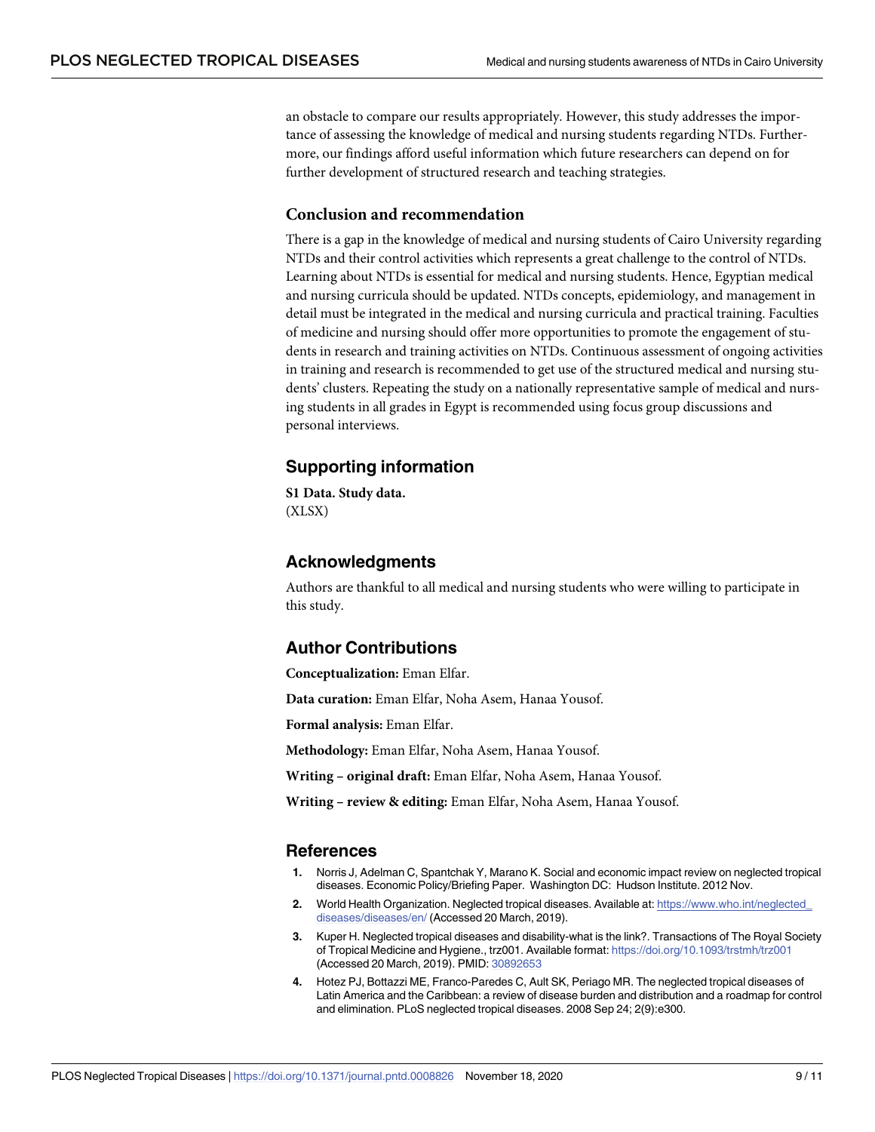<span id="page-8-0"></span>an obstacle to compare our results appropriately. However, this study addresses the importance of assessing the knowledge of medical and nursing students regarding NTDs. Furthermore, our findings afford useful information which future researchers can depend on for further development of structured research and teaching strategies.

#### **Conclusion and recommendation**

There is a gap in the knowledge of medical and nursing students of Cairo University regarding NTDs and their control activities which represents a great challenge to the control of NTDs. Learning about NTDs is essential for medical and nursing students. Hence, Egyptian medical and nursing curricula should be updated. NTDs concepts, epidemiology, and management in detail must be integrated in the medical and nursing curricula and practical training. Faculties of medicine and nursing should offer more opportunities to promote the engagement of students in research and training activities on NTDs. Continuous assessment of ongoing activities in training and research is recommended to get use of the structured medical and nursing students' clusters. Repeating the study on a nationally representative sample of medical and nursing students in all grades in Egypt is recommended using focus group discussions and personal interviews.

## **Supporting information**

**S1 [Data](http://journals.plos.org/plosntds/article/asset?unique&id=info:doi/10.1371/journal.pntd.0008826.s001). Study data.** (XLSX)

## **Acknowledgments**

Authors are thankful to all medical and nursing students who were willing to participate in this study.

## **Author Contributions**

**Conceptualization:** Eman Elfar.

**Data curation:** Eman Elfar, Noha Asem, Hanaa Yousof.

**Formal analysis:** Eman Elfar.

**Methodology:** Eman Elfar, Noha Asem, Hanaa Yousof.

**Writing – original draft:** Eman Elfar, Noha Asem, Hanaa Yousof.

**Writing – review & editing:** Eman Elfar, Noha Asem, Hanaa Yousof.

### **References**

- **[1](#page-1-0).** Norris J, Adelman C, Spantchak Y, Marano K. Social and economic impact review on neglected tropical diseases. Economic Policy/Briefing Paper. Washington DC: Hudson Institute. 2012 Nov.
- **[2](#page-1-0).** World Health Organization. Neglected tropical diseases. Available at: [https://www.who.int/neglected\\_](https://www.who.int/neglected_diseases/diseases/en/) [diseases/diseases/en/](https://www.who.int/neglected_diseases/diseases/en/) (Accessed 20 March, 2019).
- **[3](#page-1-0).** Kuper H. Neglected tropical diseases and disability-what is the link?. Transactions of The Royal Society of Tropical Medicine and Hygiene., trz001. Available format: <https://doi.org/10.1093/trstmh/trz001> (Accessed 20 March, 2019). PMID: [30892653](http://www.ncbi.nlm.nih.gov/pubmed/30892653)
- **[4](#page-1-0).** Hotez PJ, Bottazzi ME, Franco-Paredes C, Ault SK, Periago MR. The neglected tropical diseases of Latin America and the Caribbean: a review of disease burden and distribution and a roadmap for control and elimination. PLoS neglected tropical diseases. 2008 Sep 24; 2(9):e300.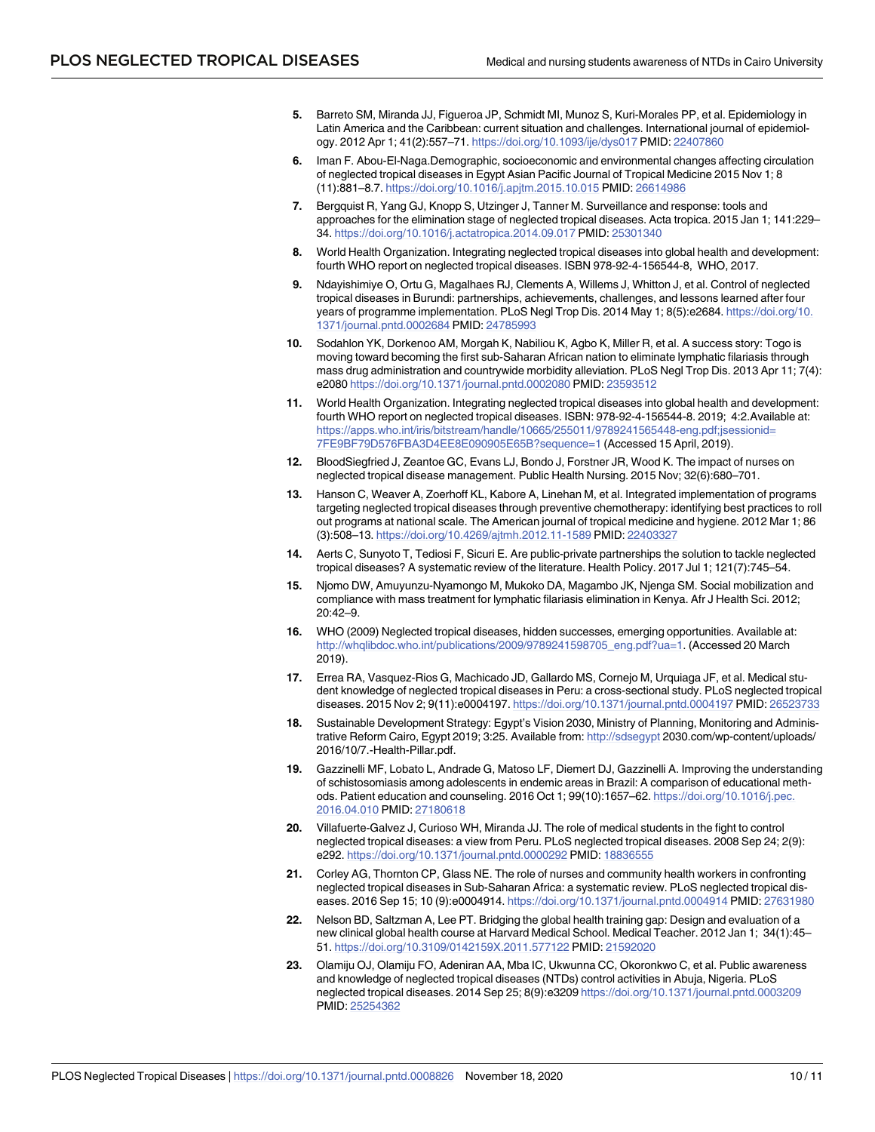- <span id="page-9-0"></span>**[5](#page-1-0).** Barreto SM, Miranda JJ, Figueroa JP, Schmidt MI, Munoz S, Kuri-Morales PP, et al. Epidemiology in Latin America and the Caribbean: current situation and challenges. International journal of epidemiology. 2012 Apr 1; 41(2):557–71. <https://doi.org/10.1093/ije/dys017> PMID: [22407860](http://www.ncbi.nlm.nih.gov/pubmed/22407860)
- **[6](#page-1-0).** Iman F. Abou-El-Naga.Demographic, socioeconomic and environmental changes affecting circulation of neglected tropical diseases in Egypt Asian Pacific Journal of Tropical Medicine 2015 Nov 1; 8 (11):881–8.7. <https://doi.org/10.1016/j.apjtm.2015.10.015> PMID: [26614986](http://www.ncbi.nlm.nih.gov/pubmed/26614986)
- **[7](#page-1-0).** Bergquist R, Yang GJ, Knopp S, Utzinger J, Tanner M. Surveillance and response: tools and approaches for the elimination stage of neglected tropical diseases. Acta tropica. 2015 Jan 1; 141:229– 34. <https://doi.org/10.1016/j.actatropica.2014.09.017> PMID: [25301340](http://www.ncbi.nlm.nih.gov/pubmed/25301340)
- **[8](#page-1-0).** World Health Organization. Integrating neglected tropical diseases into global health and development: fourth WHO report on neglected tropical diseases. ISBN 978-92-4-156544-8, WHO, 2017.
- **[9](#page-1-0).** Ndayishimiye O, Ortu G, Magalhaes RJ, Clements A, Willems J, Whitton J, et al. Control of neglected tropical diseases in Burundi: partnerships, achievements, challenges, and lessons learned after four years of programme implementation. PLoS Negl Trop Dis. 2014 May 1; 8(5):e2684. [https://doi.org/10.](https://doi.org/10.1371/journal.pntd.0002684) [1371/journal.pntd.0002684](https://doi.org/10.1371/journal.pntd.0002684) PMID: [24785993](http://www.ncbi.nlm.nih.gov/pubmed/24785993)
- **[10](#page-1-0).** Sodahlon YK, Dorkenoo AM, Morgah K, Nabiliou K, Agbo K, Miller R, et al. A success story: Togo is moving toward becoming the first sub-Saharan African nation to eliminate lymphatic filariasis through mass drug administration and countrywide morbidity alleviation. PLoS Negl Trop Dis. 2013 Apr 11; 7(4): e2080 <https://doi.org/10.1371/journal.pntd.0002080> PMID: [23593512](http://www.ncbi.nlm.nih.gov/pubmed/23593512)
- **[11](#page-2-0).** World Health Organization. Integrating neglected tropical diseases into global health and development: fourth WHO report on neglected tropical diseases. ISBN: 978-92-4-156544-8. 2019; 4:2.Available at: [https://apps.who.int/iris/bitstream/handle/10665/255011/9789241565448-eng.pdf;jsessionid=](https://apps.who.int/iris/bitstream/handle/10665/255011/9789241565448-eng.pdf;jsessionid=7FE9BF79D576FBA3D4EE8E090905E65B?sequence=1) [7FE9BF79D576FBA3D4EE8E090905E65B?sequence=1](https://apps.who.int/iris/bitstream/handle/10665/255011/9789241565448-eng.pdf;jsessionid=7FE9BF79D576FBA3D4EE8E090905E65B?sequence=1) (Accessed 15 April, 2019).
- **[12](#page-2-0).** BloodSiegfried J, Zeantoe GC, Evans LJ, Bondo J, Forstner JR, Wood K. The impact of nurses on neglected tropical disease management. Public Health Nursing. 2015 Nov; 32(6):680–701.
- **[13](#page-2-0).** Hanson C, Weaver A, Zoerhoff KL, Kabore A, Linehan M, et al. Integrated implementation of programs targeting neglected tropical diseases through preventive chemotherapy: identifying best practices to roll out programs at national scale. The American journal of tropical medicine and hygiene. 2012 Mar 1; 86 (3):508–13. <https://doi.org/10.4269/ajtmh.2012.11-1589> PMID: [22403327](http://www.ncbi.nlm.nih.gov/pubmed/22403327)
- **[14](#page-2-0).** Aerts C, Sunyoto T, Tediosi F, Sicuri E. Are public-private partnerships the solution to tackle neglected tropical diseases? A systematic review of the literature. Health Policy. 2017 Jul 1; 121(7):745–54.
- **[15](#page-2-0).** Njomo DW, Amuyunzu-Nyamongo M, Mukoko DA, Magambo JK, Njenga SM. Social mobilization and compliance with mass treatment for lymphatic filariasis elimination in Kenya. Afr J Health Sci. 2012; 20:42–9.
- **[16](#page-2-0).** WHO (2009) Neglected tropical diseases, hidden successes, emerging opportunities. Available at: [http://whqlibdoc.who.int/publications/2009/9789241598705\\_eng.pdf?ua=1](http://whqlibdoc.who.int/publications/2009/9789241598705_eng.pdf?ua=1). (Accessed 20 March 2019).
- **[17](#page-2-0).** Errea RA, Vasquez-Rios G, Machicado JD, Gallardo MS, Cornejo M, Urquiaga JF, et al. Medical student knowledge of neglected tropical diseases in Peru: a cross-sectional study. PLoS neglected tropical diseases. 2015 Nov 2; 9(11):e0004197. <https://doi.org/10.1371/journal.pntd.0004197> PMID: [26523733](http://www.ncbi.nlm.nih.gov/pubmed/26523733)
- **[18](#page-5-0).** Sustainable Development Strategy: Egypt's Vision 2030, Ministry of Planning, Monitoring and Administrative Reform Cairo, Egypt 2019; 3:25. Available from: <http://sdsegypt> 2030.com/wp-content/uploads/ 2016/10/7.-Health-Pillar.pdf.
- **[19](#page-5-0).** Gazzinelli MF, Lobato L, Andrade G, Matoso LF, Diemert DJ, Gazzinelli A. Improving the understanding of schistosomiasis among adolescents in endemic areas in Brazil: A comparison of educational methods. Patient education and counseling. 2016 Oct 1; 99(10):1657–62. [https://doi.org/10.1016/j.pec.](https://doi.org/10.1016/j.pec.2016.04.010) [2016.04.010](https://doi.org/10.1016/j.pec.2016.04.010) PMID: [27180618](http://www.ncbi.nlm.nih.gov/pubmed/27180618)
- **[20](#page-7-0).** Villafuerte-Galvez J, Curioso WH, Miranda JJ. The role of medical students in the fight to control neglected tropical diseases: a view from Peru. PLoS neglected tropical diseases. 2008 Sep 24; 2(9): e292. <https://doi.org/10.1371/journal.pntd.0000292> PMID: [18836555](http://www.ncbi.nlm.nih.gov/pubmed/18836555)
- **[21](#page-7-0).** Corley AG, Thornton CP, Glass NE. The role of nurses and community health workers in confronting neglected tropical diseases in Sub-Saharan Africa: a systematic review. PLoS neglected tropical diseases. 2016 Sep 15; 10 (9):e0004914. <https://doi.org/10.1371/journal.pntd.0004914> PMID: [27631980](http://www.ncbi.nlm.nih.gov/pubmed/27631980)
- **[22](#page-7-0).** Nelson BD, Saltzman A, Lee PT. Bridging the global health training gap: Design and evaluation of a new clinical global health course at Harvard Medical School. Medical Teacher. 2012 Jan 1; 34(1):45– 51. <https://doi.org/10.3109/0142159X.2011.577122> PMID: [21592020](http://www.ncbi.nlm.nih.gov/pubmed/21592020)
- **[23](#page-7-0).** Olamiju OJ, Olamiju FO, Adeniran AA, Mba IC, Ukwunna CC, Okoronkwo C, et al. Public awareness and knowledge of neglected tropical diseases (NTDs) control activities in Abuja, Nigeria. PLoS neglected tropical diseases. 2014 Sep 25; 8(9):e3209 <https://doi.org/10.1371/journal.pntd.0003209> PMID: [25254362](http://www.ncbi.nlm.nih.gov/pubmed/25254362)